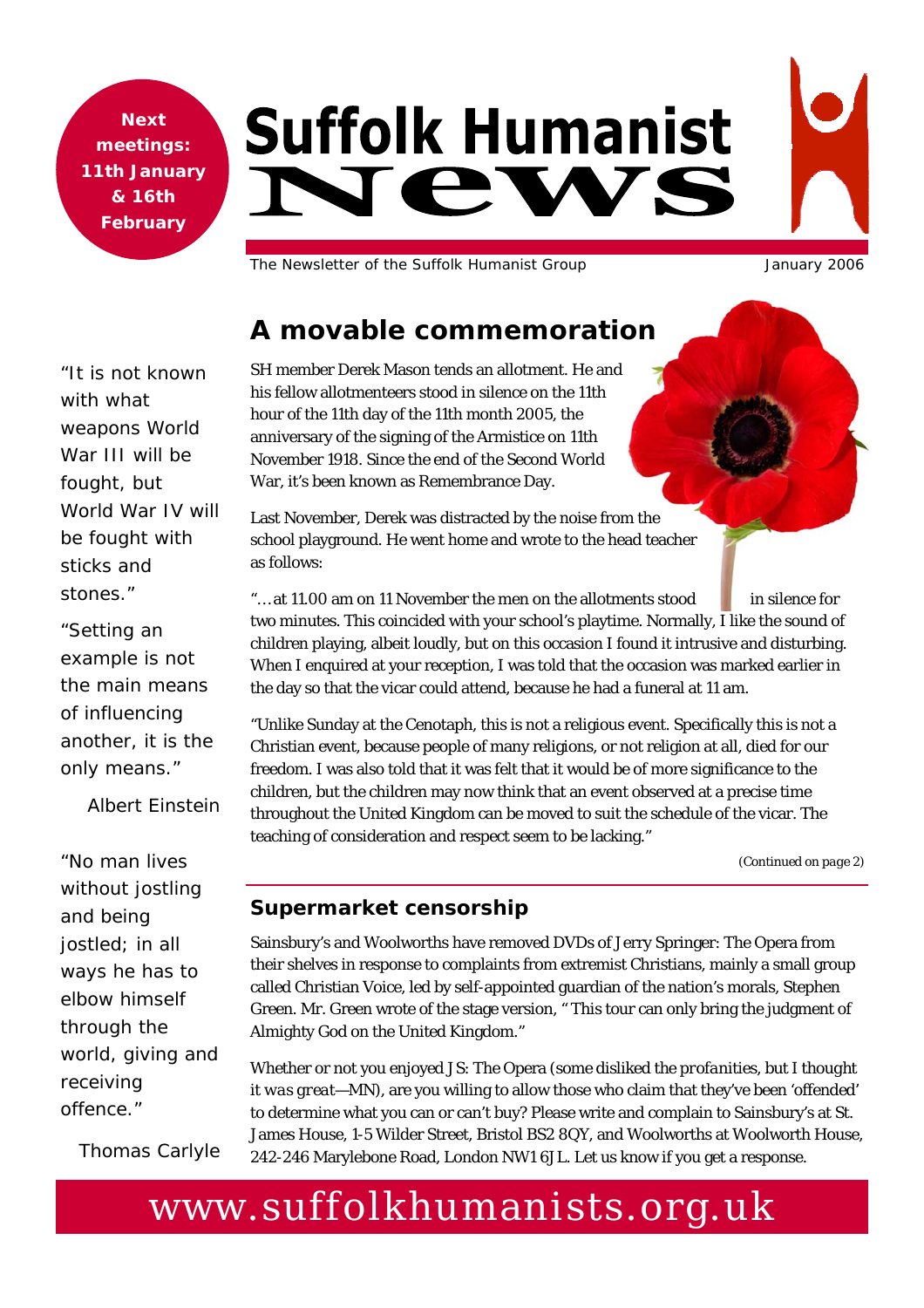**Next meetings: 11th January & 16th February** 

# **Suffolk Humanist** JAW

The Newsletter of the Suffolk Humanist Group January 2006

*"It is not known with what weapons World War III will be fought, but World War IV will be fought with sticks and stones."* 

*"Setting an example is not the main means of influencing another, it is the only means."* 

*Albert Einstein* 

*"No man lives without jostling and being jostled; in all ways he has to elbow himself through the world, giving and receiving offence."* 

*Thomas Carlyle* 

SH member Derek Mason tends an allotment. He and his fellow allotmenteers stood in silence on the 11th hour of the 11th day of the 11th month 2005, the anniversary of the signing of the Armistice on 11th November 1918. Since the end of the Second World War, it's been known as Remembrance Day.

**A movable commemoration** 

Last November, Derek was distracted by the noise from the school playground. He went home and wrote to the head teacher as follows:

"... at 11.00 am on 11 November the men on the allotments stood in silence for two minutes. This coincided with your school's playtime. Normally, I like the sound of children playing, albeit loudly, but on this occasion I found it intrusive and disturbing. When I enquired at your reception, I was told that the occasion was marked earlier in the day so that the vicar could attend, because he had a funeral at 11 am.

"Unlike Sunday at the Cenotaph, this is not a religious event. Specifically this is not a Christian event, because people of many religions, or not religion at all, died for our freedom. I was also told that it was felt that it would be of more significance to the children, but the children may now think that an event observed at a precise time throughout the United Kingdom can be moved to suit the schedule of the vicar. The teaching of consideration and respect seem to be lacking."

*(Continued on page 2)* 

#### **Supermarket censorship**

Sainsbury's and Woolworths have removed DVDs of Jerry Springer: The Opera from their shelves in response to complaints from extremist Christians, mainly a small group called Christian Voice, led by self-appointed guardian of the nation's morals, Stephen Green. Mr. Green wrote of the stage version, " This tour can only bring the judgment of Almighty God on the United Kingdom."

Whether or not you enjoyed JS: The Opera (*some disliked the profanities, but I thought it was great—MN*), are you willing to allow those who claim that they've been 'offended' to determine what you can or can't buy? Please write and complain to Sainsbury's at St. James House, 1-5 Wilder Street, Bristol BS2 8QY, and Woolworths at Woolworth House, 242-246 Marylebone Road, London NW1 6JL. Let us know if you get a response.

# www.suffolkhumanists.org.uk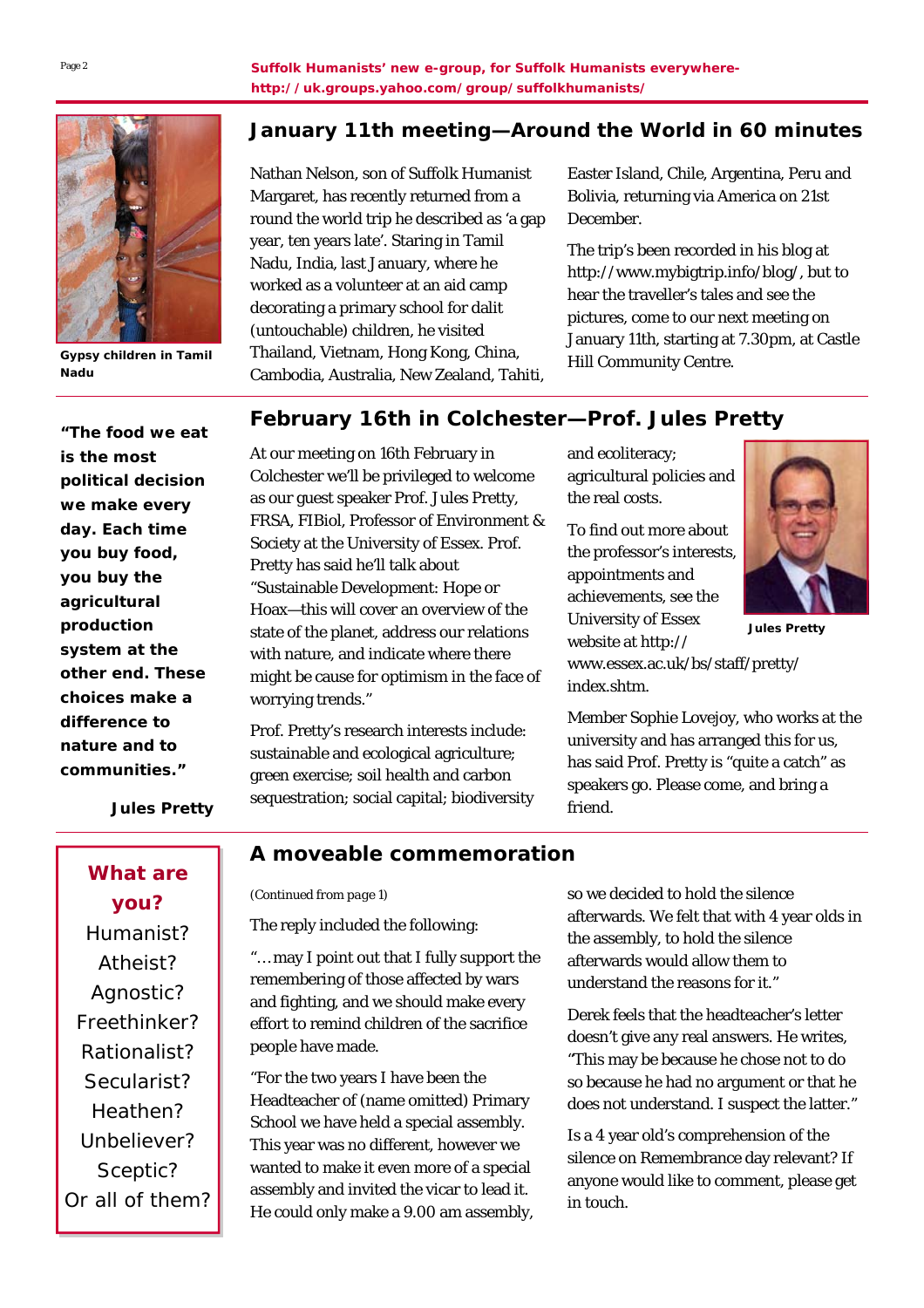

**Gypsy children in Tamil Nadu** 

*"The food we eat is the most political decision we make every day. Each time you buy food, you buy the agricultural production system at the other end. These choices make a difference to nature and to communities."* 

#### **January 11th meeting—Around the World in 60 minutes**

Nathan Nelson, son of Suffolk Humanist Margaret, has recently returned from a round the world trip he described as 'a gap year, ten years late'. Staring in Tamil Nadu, India, last January, where he worked as a volunteer at an aid camp decorating a primary school for dalit (untouchable) children, he visited Thailand, Vietnam, Hong Kong, China, Cambodia, Australia, New Zealand, Tahiti,

Easter Island, Chile, Argentina, Peru and Bolivia, returning via America on 21st December.

The trip's been recorded in his blog at http://www.mybigtrip.info/blog/, but to hear the traveller's tales and see the pictures, come to our next meeting on January 11th, starting at 7.30pm, at Castle Hill Community Centre.

### **February 16th in Colchester—Prof. Jules Pretty**

At our meeting on 16th February in Colchester we'll be privileged to welcome as our guest speaker Prof. Jules Pretty, FRSA, FIBiol, Professor of Environment & Society at the University of Essex. Prof. Pretty has said he'll talk about "Sustainable Development: Hope or Hoax—this will cover an overview of the state of the planet, address our relations with nature, and indicate where there might be cause for optimism in the face of worrying trends."

Prof. Pretty's research interests include: sustainable and ecological agriculture; green exercise; soil health and carbon sequestration; social capital; biodiversity and ecoliteracy; agricultural policies and the real costs.

To find out more about the professor's interests, appointments and achievements, see the University of Essex website at http:// www.essex.ac.uk/bs/staff/pretty/ index.shtm.

friend.



**Jules Pretty** 

Member Sophie Lovejoy, who works at the university and has arranged this for us, has said Prof. Pretty is "quite a catch" as

speakers go. Please come, and bring a

*Jules Pretty* 

**What are you?**  Humanist? Atheist? Agnostic? Freethinker? Rationalist? Secularist? Heathen? Unbeliever? Sceptic? Or all of them?

#### **A moveable commemoration**

*(Continued from page 1)* 

The reply included the following:

"… may I point out that I fully support the remembering of those affected by wars and fighting, and we should make every effort to remind children of the sacrifice people have made.

"For the two years I have been the Headteacher of (name omitted) Primary School we have held a special assembly. This year was no different, however we wanted to make it even more of a special assembly and invited the vicar to lead it. He could only make a 9.00 am assembly, so we decided to hold the silence afterwards. We felt that with 4 year olds in the assembly, to hold the silence afterwards would allow them to understand the reasons for it."

Derek feels that the headteacher's letter doesn't give any real answers. He writes, "This may be because he chose not to do so because he had no argument or that he does not understand. I suspect the latter."

Is a 4 year old's comprehension of the silence on Remembrance day relevant? If anyone would like to comment, please get in touch.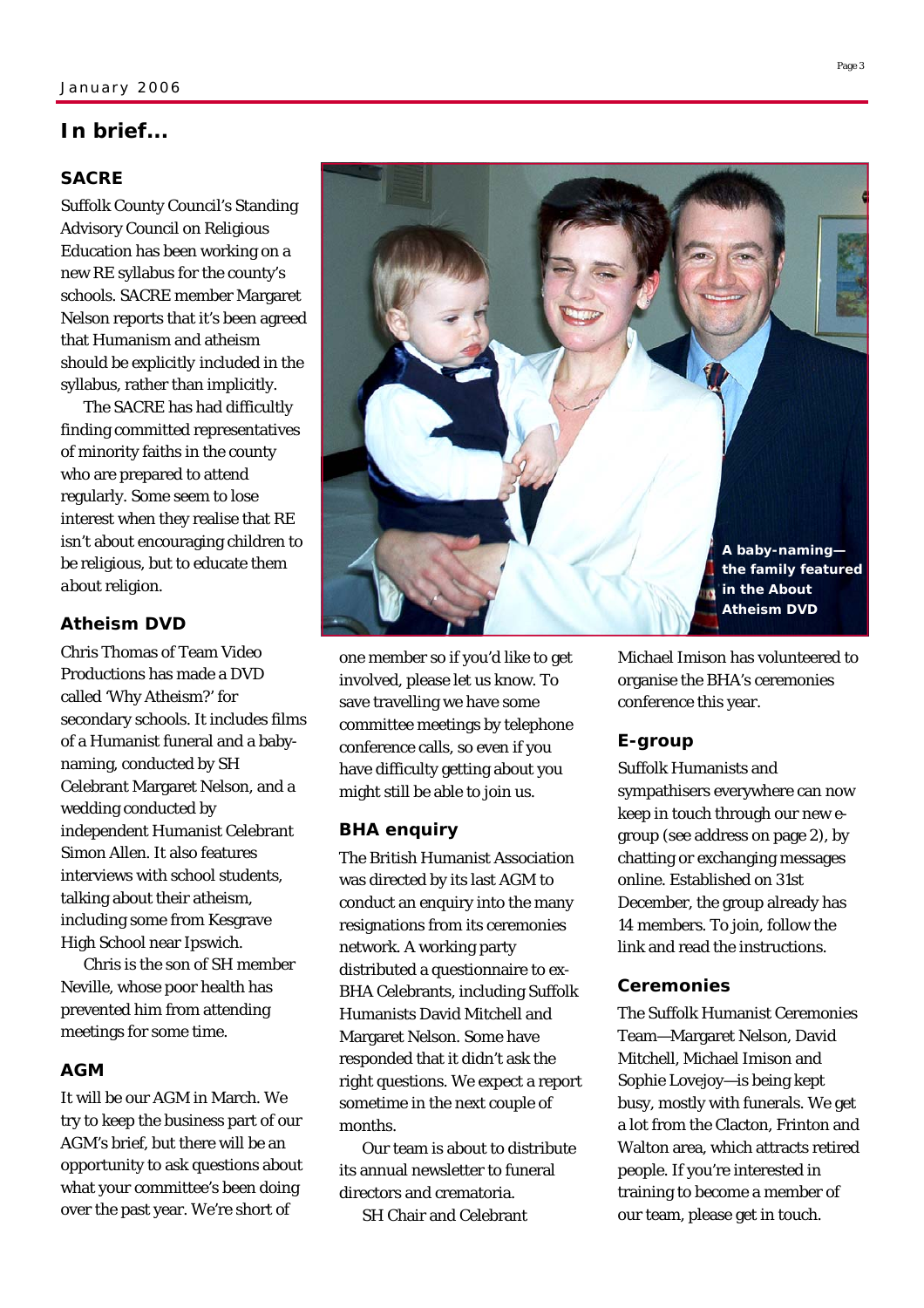#### **In brief...**

#### **SACRE**

Suffolk County Council's Standing Advisory Council on Religious Education has been working on a new RE syllabus for the county's schools. SACRE member Margaret Nelson reports that it's been agreed that Humanism and atheism should be *explicitly* included in the syllabus, rather than implicitly.

 The SACRE has had difficultly finding committed representatives of minority faiths in the county who are prepared to attend regularly. Some seem to lose interest when they realise that RE isn't about encouraging children to *be* religious, but to educate them *about* religion.

#### **Atheism DVD**

Chris Thomas of Team Video Productions has made a DVD called 'Why Atheism?' for secondary schools. It includes films of a Humanist funeral and a babynaming, conducted by SH Celebrant Margaret Nelson, and a wedding conducted by independent Humanist Celebrant Simon Allen. It also features interviews with school students, talking about their atheism, including some from Kesgrave High School near Ipswich.

 Chris is the son of SH member Neville, whose poor health has prevented him from attending meetings for some time.

#### **AGM**

It will be our AGM in March. We try to keep the business part of our AGM's brief, but there will be an opportunity to ask questions about what your committee's been doing over the past year. We're short of



one member so if you'd like to get involved, please let us know. To save travelling we have some committee meetings by telephone conference calls, so even if you have difficulty getting about you might still be able to join us.

#### **BHA enquiry**

The British Humanist Association was directed by its last AGM to conduct an enquiry into the many resignations from its ceremonies network. A working party distributed a questionnaire to ex-BHA Celebrants, including Suffolk Humanists David Mitchell and Margaret Nelson. Some have responded that it didn't ask the right questions. We expect a report sometime in the next couple of months.

 Our team is about to distribute its annual newsletter to funeral directors and crematoria.

SH Chair and Celebrant

Michael Imison has volunteered to organise the BHA's ceremonies conference this year.

#### **E-group**

Suffolk Humanists and sympathisers everywhere can now keep in touch through our new egroup (see address on page 2), by chatting or exchanging messages online. Established on 31st December, the group already has 14 members. To join, follow the link and read the instructions.

#### **Ceremonies**

The Suffolk Humanist Ceremonies Team—Margaret Nelson, David Mitchell, Michael Imison and Sophie Lovejoy—is being kept busy, mostly with funerals. We get a lot from the Clacton, Frinton and Walton area, which attracts retired people. If you're interested in training to become a member of our team, please get in touch.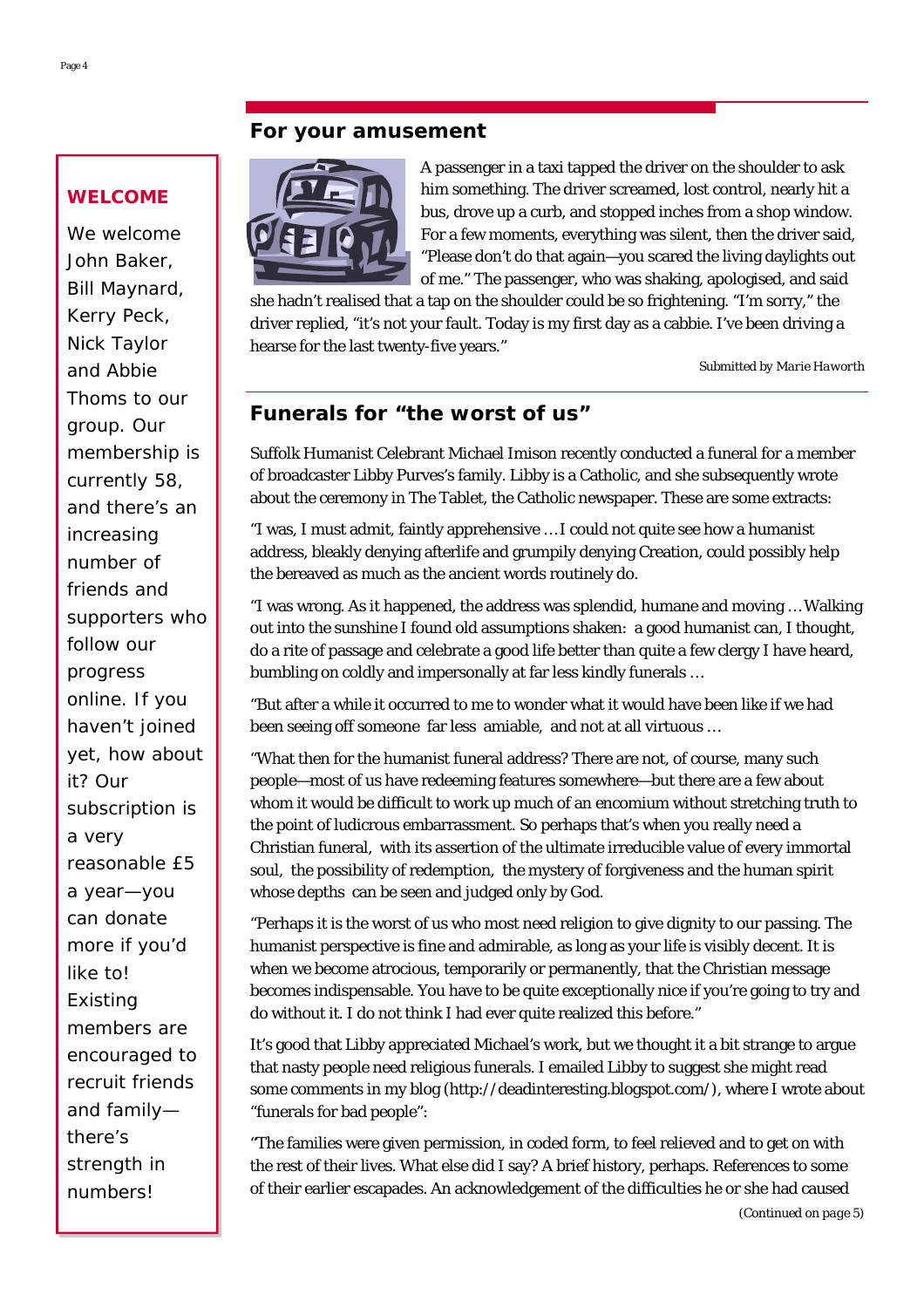#### **For your amusement**

### **WELCOME**

We welcome John Baker, Bill Maynard, Kerry Peck, Nick Taylor and Abbie Thoms to our group. Our membership is currently 58, and there's an increasing number of friends and supporters who follow our progress online. If you haven't joined yet, how about it? Our subscription is a very reasonable £5 a year—you can donate more if you'd like to! Existing members are encouraged to recruit friends and family there's strength in numbers!

A passenger in a taxi tapped the driver on the shoulder to ask him something. The driver screamed, lost control, nearly hit a bus, drove up a curb, and stopped inches from a shop window. For a few moments, everything was silent, then the driver said, "Please don't do that again—you scared the living daylights out of me." The passenger, who was shaking, apologised, and said

she hadn't realised that a tap on the shoulder could be so frightening. "I'm sorry," the driver replied, "it's not your fault. Today is my first day as a cabbie. I've been driving a hearse for the last twenty-five years."

*Submitted by Marie Haworth* 

#### **Funerals for "the worst of us"**

Suffolk Humanist Celebrant Michael Imison recently conducted a funeral for a member of broadcaster Libby Purves's family. Libby is a Catholic, and she subsequently wrote about the ceremony in The Tablet, the Catholic newspaper. These are some extracts:

"I was, I must admit, faintly apprehensive … I could not quite see how a humanist address, bleakly denying afterlife and grumpily denying Creation, could possibly help the bereaved as much as the ancient words routinely do.

"I was wrong. As it happened, the address was splendid, humane and moving … Walking out into the sunshine I found old assumptions shaken: a good humanist can, I thought, do a rite of passage and celebrate a good life better than quite a few clergy I have heard, bumbling on coldly and impersonally at far less kindly funerals …

"But after a while it occurred to me to wonder what it would have been like if we had been seeing off someone far less amiable, and not at all virtuous …

"What then for the humanist funeral address? There are not, of course, many such people—most of us have redeeming features somewhere—but there are a few about whom it would be difficult to work up much of an encomium without stretching truth to the point of ludicrous embarrassment. So perhaps that's when you really need a Christian funeral, with its assertion of the ultimate irreducible value of every immortal soul, the possibility of redemption, the mystery of forgiveness and the human spirit whose depths can be seen and judged only by God.

"Perhaps it is the worst of us who most need religion to give dignity to our passing. The humanist perspective is fine and admirable, as long as your life is visibly decent. It is when we become atrocious, temporarily or permanently, that the Christian message becomes indispensable. You have to be quite exceptionally nice if you're going to try and do without it. I do not think I had ever quite realized this before."

It's good that Libby appreciated Michael's work, but we thought it a bit strange to argue that nasty people need religious funerals. I emailed Libby to suggest she might read some comments in my blog (http://deadinteresting.blogspot.com/), where I wrote about "funerals for bad people":

"The families were given permission, in coded form, to feel relieved and to get on with the rest of their lives. What else did I say? A brief history, perhaps. References to some of their earlier escapades. An acknowledgement of the difficulties he or she had caused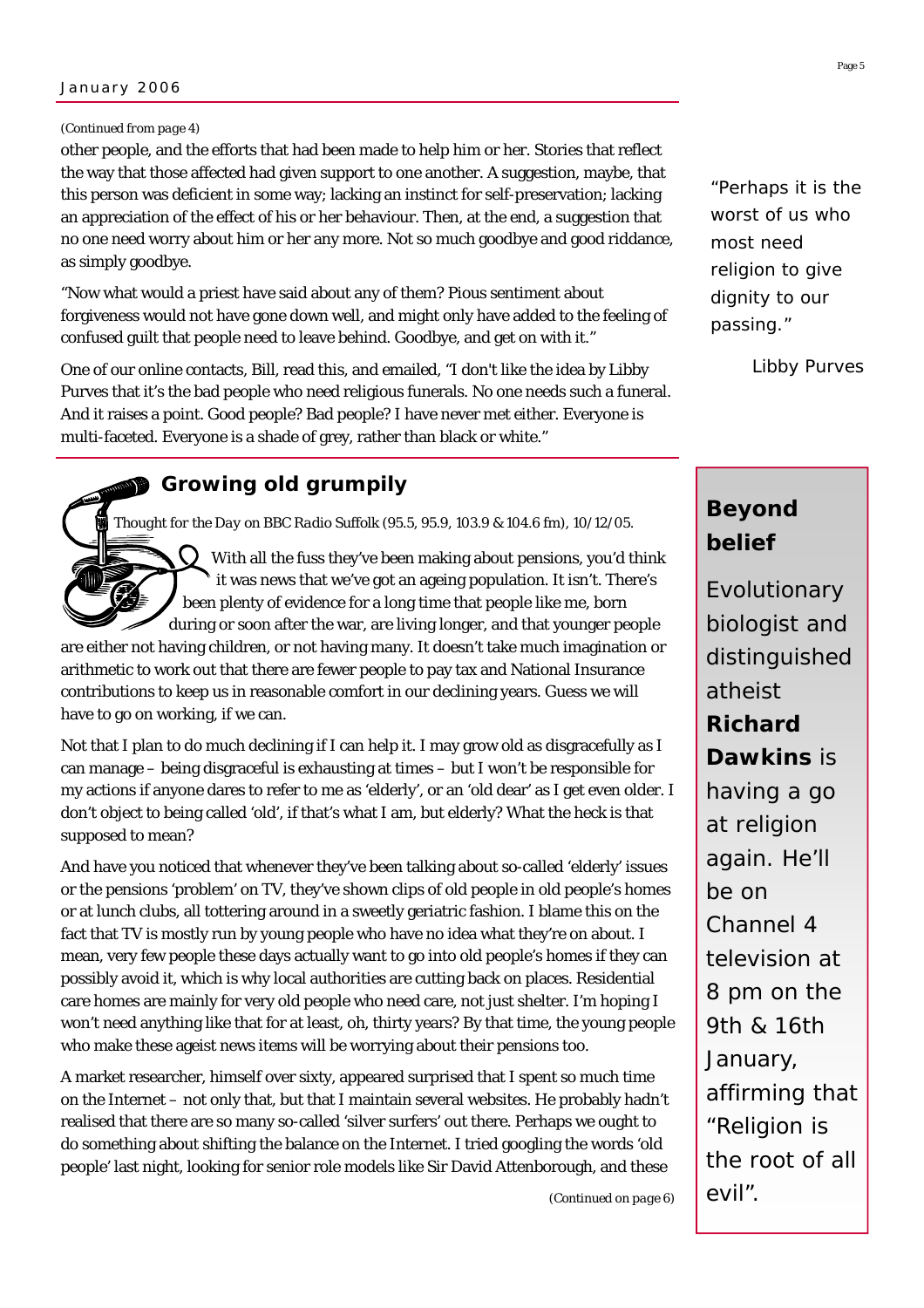#### *(Continued from page 4)*

other people, and the efforts that had been made to help him or her. Stories that reflect the way that those affected had given support to one another. A suggestion, maybe, that this person was deficient in some way; lacking an instinct for self-preservation; lacking an appreciation of the effect of his or her behaviour. Then, at the end, a suggestion that no one need worry about him or her any more. Not so much goodbye and good riddance, as simply goodbye.

"Now what would a priest have said about any of them? Pious sentiment about forgiveness would not have gone down well, and might only have added to the feeling of confused guilt that people need to leave behind. Goodbye, and get on with it."

One of our online contacts, Bill, read this, and emailed, "I don't like the idea by Libby Purves that it's the bad people who need religious funerals. No one needs such a funeral. And it raises a point. Good people? Bad people? I have never met either. Everyone is multi-faceted. Everyone is a shade of grey, rather than black or white."

# **Growing old grumpily**

*Thought for the Day on BBC Radio Suffolk (95.5, 95.9, 103.9 & 104.6 fm), 10/12/05.* 

With all the fuss they've been making about pensions, you'd think it was news that we've got an ageing population. It isn't. There's been plenty of evidence for a long time that people like me, born during or soon after the war, are living longer, and that younger people

are either not having children, or not having many. It doesn't take much imagination or arithmetic to work out that there are fewer people to pay tax and National Insurance contributions to keep us in reasonable comfort in our declining years. Guess we will have to go on working, if we can.

Not that I plan to do much declining if I can help it. I may grow old as disgracefully as I can manage – being disgraceful is exhausting at times – but I won't be responsible for my actions if anyone dares to refer to me as 'elderly', or an 'old dear' as I get even older. I don't object to being called 'old', if that's what I am, but elderly? What the heck is that supposed to mean?

And have you noticed that whenever they've been talking about so-called 'elderly' issues or the pensions 'problem' on TV, they've shown clips of old people in old people's homes or at lunch clubs, all tottering around in a sweetly geriatric fashion. I blame this on the fact that TV is mostly run by young people who have no idea what they're on about. I mean, very few people these days actually want to go into old people's homes if they can possibly avoid it, which is why local authorities are cutting back on places. Residential care homes are mainly for very old people who need care, not just shelter. I'm hoping I won't need anything like that for at least, oh, thirty years? By that time, the young people who make these ageist news items will be worrying about their pensions too.

A market researcher, himself over sixty, appeared surprised that I spent so much time on the Internet – not only that, but that I maintain several websites. He probably hadn't realised that there are so many so-called 'silver surfers' out there. Perhaps we ought to do something about shifting the balance on the Internet. I tried googling the words 'old people' last night, looking for senior role models like Sir David Attenborough, and these

*"Perhaps it is the worst of us who most need religion to give dignity to our passing."* 

*Libby Purves* 

# **Beyond belief**

Evolutionary biologist and distinguished atheist **Richard Dawkins** is having a go at religion again. He'll be on Channel 4 television at 8 pm on the 9th & 16th January, affirming that "Religion is the root of all evil".

*(Continued on page 6)*